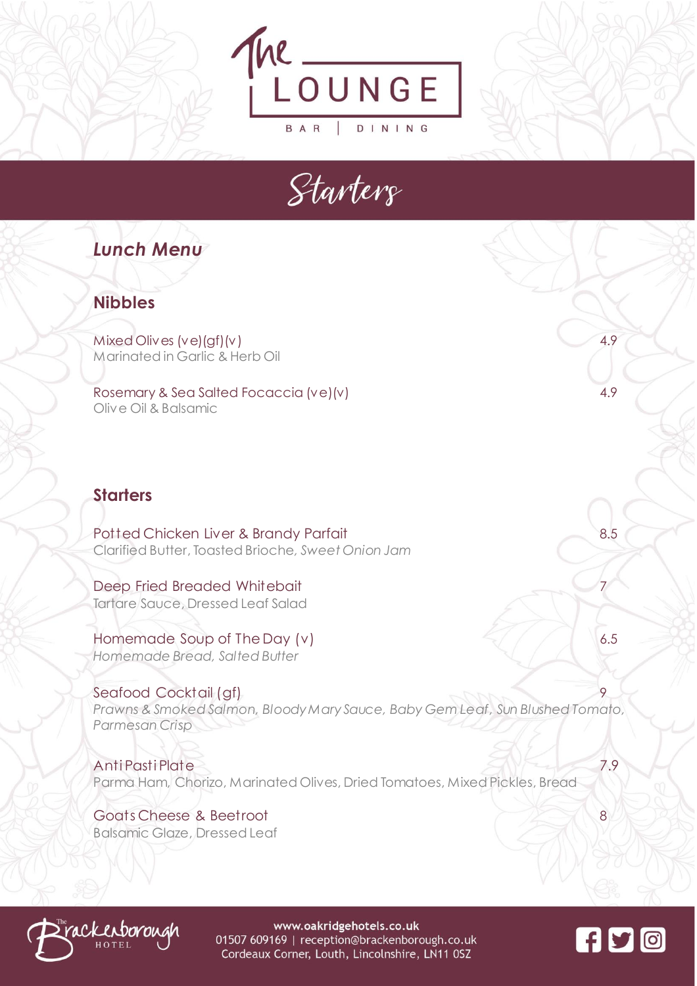



# *Lunch Menu*

### **Nibbles**

Mixed Olives (ve)(gf)(v) 4.9 Marinated in Garlic & Herb Oil

Rosemary & Sea Salted Focaccia (ve)(v) 4.9 Olive Oil & Balsamic

## **Starters**

Potted Chicken Liver & Brandy Parfait 8.5 Clarified Butter, Toasted Brioche*, Sweet Onion Jam*

Deep Fried Breaded Whitebait Tartare Sauce, Dressed Leaf Salad

Homemade Soup of The Day (v)  $\leq$  6.5 *Homemade Bread, Salted Butter*

Seafood Cocktail (gf) *Prawns & Smoked Salmon, Bloody Mary Sauce, Baby Gem Leaf, Sun Blushed Tomato, Parmesan Crisp* 

Anti Pasti Plate 7.9 Parma Ham, Chorizo, Marinated Olives, Dried Tomatoes, Mixed Pickles, Bread

Goats Cheese & Beetroot 8 Balsamic Glaze, Dressed Leaf



www.oakridgehotels.co.uk 01507 609169 | reception@brackenborough.co.uk Cordeaux Corner, Louth, Lincolnshire, LN11 0SZ